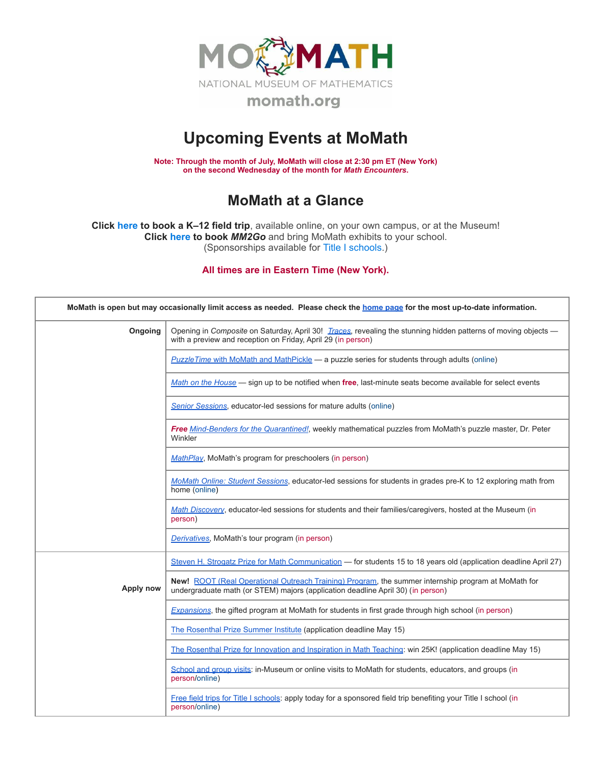

## **Upcoming Events at MoMath**

**Note: Through the month of July, MoMath will close at 2:30 pm ET (New York) on the second Wednesday of the month for** *Math [Encounters](http://mathencounters.org/)***.**

## **MoMath at a Glance**

**Click [here](http://fieldtrips.momath.org/) to book a K–12 field trip**, available online, on your own campus, or at the Museum! **Click [here](http://mm2go.momath.org/) to book** *MM2Go* and bring MoMath exhibits to your school. (Sponsorships available for Title I [schools.](http://titleone.momath.org/))

**All times are in Eastern Time (New York).**

| MoMath is open but may occasionally limit access as needed. Please check the home page for the most up-to-date information. |                                                                                                                                                                                        |  |  |  |
|-----------------------------------------------------------------------------------------------------------------------------|----------------------------------------------------------------------------------------------------------------------------------------------------------------------------------------|--|--|--|
| Ongoing                                                                                                                     | Opening in Composite on Saturday, April 30! Traces, revealing the stunning hidden patterns of moving objects -<br>with a preview and reception on Friday, April 29 (in person)         |  |  |  |
|                                                                                                                             | <b>PuzzleTime with MoMath and MathPickle — a puzzle series for students through adults (online)</b>                                                                                    |  |  |  |
|                                                                                                                             | Math on the House - sign up to be notified when free, last-minute seats become available for select events                                                                             |  |  |  |
|                                                                                                                             | <b>Senior Sessions</b> , educator-led sessions for mature adults (online)                                                                                                              |  |  |  |
|                                                                                                                             | Free Mind-Benders for the Quarantined!, weekly mathematical puzzles from MoMath's puzzle master, Dr. Peter<br>Winkler                                                                  |  |  |  |
|                                                                                                                             | MathPlay, MoMath's program for preschoolers (in person)                                                                                                                                |  |  |  |
|                                                                                                                             | MoMath Online: Student Sessions, educator-led sessions for students in grades pre-K to 12 exploring math from<br>home (online)                                                         |  |  |  |
|                                                                                                                             | Math Discovery, educator-led sessions for students and their families/caregivers, hosted at the Museum (in<br>person)                                                                  |  |  |  |
|                                                                                                                             | Derivatives, MoMath's tour program (in person)                                                                                                                                         |  |  |  |
|                                                                                                                             | Steven H. Strogatz Prize for Math Communication - for students 15 to 18 years old (application deadline April 27)                                                                      |  |  |  |
| Apply now                                                                                                                   | New! ROOT (Real Operational Outreach Training) Program, the summer internship program at MoMath for<br>undergraduate math (or STEM) majors (application deadline April 30) (in person) |  |  |  |
|                                                                                                                             | Expansions, the gifted program at MoMath for students in first grade through high school (in person)                                                                                   |  |  |  |
|                                                                                                                             | The Rosenthal Prize Summer Institute (application deadline May 15)                                                                                                                     |  |  |  |
|                                                                                                                             | The Rosenthal Prize for Innovation and Inspiration in Math Teaching: win 25K! (application deadline May 15)                                                                            |  |  |  |
|                                                                                                                             | School and group visits: in-Museum or online visits to MoMath for students, educators, and groups (in<br>person/online)                                                                |  |  |  |
|                                                                                                                             | Free field trips for Title I schools: apply today for a sponsored field trip benefiting your Title I school (in<br>person/online)                                                      |  |  |  |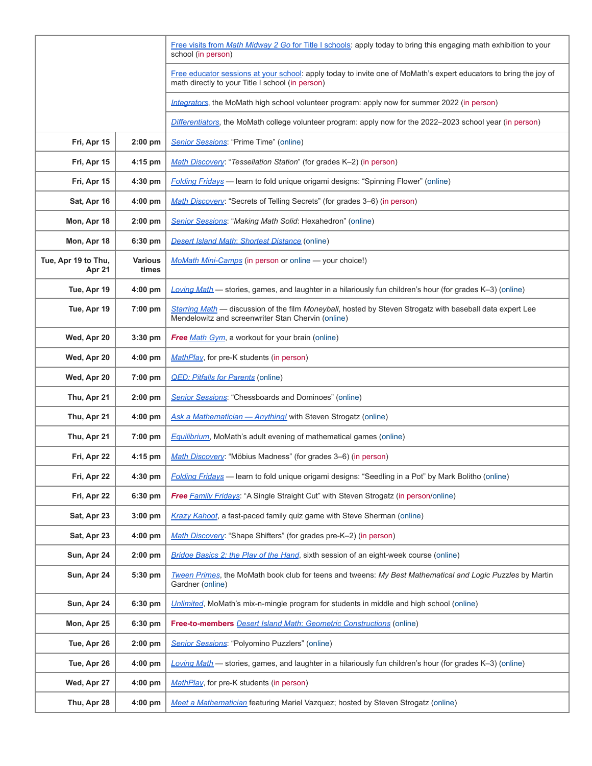|                               |                         | Free visits from Math Midway 2 Go for Title I schools: apply today to bring this engaging math exhibition to your<br>school (in person)                               |
|-------------------------------|-------------------------|-----------------------------------------------------------------------------------------------------------------------------------------------------------------------|
|                               |                         | Free educator sessions at your school: apply today to invite one of MoMath's expert educators to bring the joy of<br>math directly to your Title I school (in person) |
|                               |                         | Integrators, the MoMath high school volunteer program: apply now for summer 2022 (in person)                                                                          |
|                               |                         | Differentiators, the MoMath college volunteer program: apply now for the 2022-2023 school year (in person)                                                            |
| Fri, Apr 15                   | $2:00$ pm               | Senior Sessions: "Prime Time" (online)                                                                                                                                |
| Fri, Apr 15                   | 4:15 pm                 | Math Discovery: "Tessellation Station" (for grades K-2) (in person)                                                                                                   |
| Fri, Apr 15                   | 4:30 pm                 | <b>Folding Fridays</b> - learn to fold unique origami designs: "Spinning Flower" (online)                                                                             |
| Sat, Apr 16                   | $4:00$ pm               | Math Discovery: "Secrets of Telling Secrets" (for grades 3-6) (in person)                                                                                             |
| Mon, Apr 18                   | $2:00$ pm               | Senior Sessions: "Making Math Solid: Hexahedron" (online)                                                                                                             |
| Mon, Apr 18                   | 6:30 pm                 | <b>Desert Island Math: Shortest Distance (online)</b>                                                                                                                 |
| Tue, Apr 19 to Thu,<br>Apr 21 | <b>Various</b><br>times | MoMath Mini-Camps (in person or online - your choice!)                                                                                                                |
| Tue, Apr 19                   | 4:00 pm                 | Loving Math - stories, games, and laughter in a hilariously fun children's hour (for grades K-3) (online)                                                             |
| Tue, Apr 19                   | 7:00 pm                 | Starring Math - discussion of the film Moneyball, hosted by Steven Strogatz with baseball data expert Lee<br>Mendelowitz and screenwriter Stan Chervin (online)       |
| Wed, Apr 20                   | $3:30$ pm               | Free Math Gym, a workout for your brain (online)                                                                                                                      |
| Wed, Apr 20                   | 4:00 pm                 | MathPlay, for pre-K students (in person)                                                                                                                              |
| Wed, Apr 20                   | 7:00 pm                 | <b>QED: Pitfalls for Parents (online)</b>                                                                                                                             |
| Thu, Apr 21                   | $2:00$ pm               | <b>Senior Sessions:</b> "Chessboards and Dominoes" (online)                                                                                                           |
| Thu, Apr 21                   | 4:00 pm                 | Ask a Mathematician - Anything! with Steven Strogatz (online)                                                                                                         |
| Thu, Apr 21                   | 7:00 pm                 | <b>Equilibrium</b> , MoMath's adult evening of mathematical games (online)                                                                                            |
| Fri, Apr 22                   | 4:15 pm                 | Math Discovery: "Möbius Madness" (for grades 3-6) (in person)                                                                                                         |
| Fri, Apr 22                   | 4:30 pm                 | Folding Fridays — learn to fold unique origami designs: "Seedling in a Pot" by Mark Bolitho (online)                                                                  |
| Fri, Apr 22                   | 6:30 pm                 | <b>Free Family Fridays: "A Single Straight Cut" with Steven Strogatz (in person/online)</b>                                                                           |
| Sat, Apr 23                   | 3:00 pm                 | Krazy Kahoot, a fast-paced family quiz game with Steve Sherman (online)                                                                                               |
| Sat, Apr 23                   | 4:00 pm                 | Math Discovery: "Shape Shifters" (for grades pre-K-2) (in person)                                                                                                     |
| Sun, Apr 24                   | $2:00$ pm               | Bridge Basics 2: the Play of the Hand, sixth session of an eight-week course (online)                                                                                 |
| Sun, Apr 24                   | 5:30 pm                 | Tween Primes, the MoMath book club for teens and tweens: My Best Mathematical and Logic Puzzles by Martin<br>Gardner (online)                                         |
| Sun, Apr 24                   | 6:30 pm                 | Unlimited, MoMath's mix-n-mingle program for students in middle and high school (online)                                                                              |
| Mon, Apr 25                   | $6:30$ pm               | Free-to-members <b>Desert Island Math: Geometric Constructions</b> (online)                                                                                           |
| Tue, Apr 26                   | $2:00$ pm               | Senior Sessions: "Polyomino Puzzlers" (online)                                                                                                                        |
| Tue, Apr 26                   | $4:00$ pm               | Loving Math - stories, games, and laughter in a hilariously fun children's hour (for grades K-3) (online)                                                             |
| Wed, Apr 27                   | $4:00$ pm               | MathPlay, for pre-K students (in person)                                                                                                                              |
| Thu, Apr 28                   | $4:00$ pm               | Meet a Mathematician featuring Mariel Vazquez; hosted by Steven Strogatz (online)                                                                                     |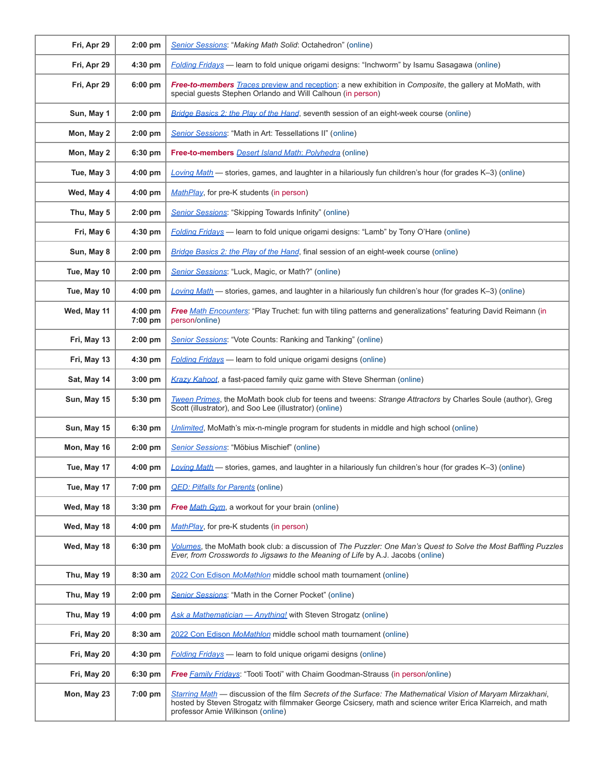| Fri, Apr 29 | $2:00$ pm            | Senior Sessions: "Making Math Solid: Octahedron" (online)                                                                                                                                                                                                        |
|-------------|----------------------|------------------------------------------------------------------------------------------------------------------------------------------------------------------------------------------------------------------------------------------------------------------|
| Fri, Apr 29 | $4:30$ pm            | <b>Folding Fridays</b> — learn to fold unique origami designs: "Inchworm" by Isamu Sasagawa (online)                                                                                                                                                             |
| Fri, Apr 29 | $6:00$ pm            | <b>Free-to-members</b> Traces preview and reception: a new exhibition in Composite, the gallery at MoMath, with<br>special guests Stephen Orlando and Will Calhoun (in person)                                                                                   |
| Sun, May 1  | $2:00$ pm            | Bridge Basics 2: the Play of the Hand, seventh session of an eight-week course (online)                                                                                                                                                                          |
| Mon, May 2  | $2:00$ pm            | Senior Sessions: "Math in Art: Tessellations II" (online)                                                                                                                                                                                                        |
| Mon, May 2  | $6:30$ pm            | Free-to-members Desert Island Math: Polyhedra (online)                                                                                                                                                                                                           |
| Tue, May 3  | 4:00 pm              | Loving Math — stories, games, and laughter in a hilariously fun children's hour (for grades K-3) (online)                                                                                                                                                        |
| Wed, May 4  | 4:00 pm              | MathPlay, for pre-K students (in person)                                                                                                                                                                                                                         |
| Thu, May 5  | $2:00$ pm            | Senior Sessions: "Skipping Towards Infinity" (online)                                                                                                                                                                                                            |
| Fri, May 6  | 4:30 pm              | <b>Folding Fridays</b> — learn to fold unique origami designs: "Lamb" by Tony O'Hare (online)                                                                                                                                                                    |
| Sun, May 8  | $2:00$ pm            | Bridge Basics 2: the Play of the Hand, final session of an eight-week course (online)                                                                                                                                                                            |
| Tue, May 10 | $2:00$ pm            | Senior Sessions: "Luck, Magic, or Math?" (online)                                                                                                                                                                                                                |
| Tue, May 10 | $4:00$ pm            | Loving Math - stories, games, and laughter in a hilariously fun children's hour (for grades K-3) (online)                                                                                                                                                        |
| Wed, May 11 | $4:00$ pm<br>7:00 pm | Free Math Encounters: "Play Truchet: fun with tiling patterns and generalizations" featuring David Reimann (in<br>person/online)                                                                                                                                 |
| Fri, May 13 | $2:00$ pm            | Senior Sessions: "Vote Counts: Ranking and Tanking" (online)                                                                                                                                                                                                     |
| Fri, May 13 | 4:30 pm              | <b>Folding Fridays</b> — learn to fold unique origami designs (online)                                                                                                                                                                                           |
| Sat, May 14 | 3:00 pm              | Krazy Kahoot, a fast-paced family quiz game with Steve Sherman (online)                                                                                                                                                                                          |
| Sun, May 15 | 5:30 pm              | Tween Primes, the MoMath book club for teens and tweens: Strange Attractors by Charles Soule (author), Greg<br>Scott (illustrator), and Soo Lee (illustrator) (online)                                                                                           |
| Sun, May 15 | 6:30 pm              | Unlimited, MoMath's mix-n-mingle program for students in middle and high school (online)                                                                                                                                                                         |
| Mon, May 16 | $2:00$ pm            | Senior Sessions: "Möbius Mischief" (online)                                                                                                                                                                                                                      |
| Tue, May 17 | $4:00$ pm            | Loving Math - stories, games, and laughter in a hilariously fun children's hour (for grades K-3) (online)                                                                                                                                                        |
| Tue, May 17 | 7:00 pm              | <b>QED: Pitfalls for Parents (online)</b>                                                                                                                                                                                                                        |
| Wed, May 18 | $3:30$ pm            | Free Math Gym, a workout for your brain (online)                                                                                                                                                                                                                 |
| Wed, May 18 | $4:00$ pm            | MathPlay, for pre-K students (in person)                                                                                                                                                                                                                         |
| Wed, May 18 | 6:30 pm              | Volumes, the MoMath book club: a discussion of The Puzzler: One Man's Quest to Solve the Most Baffling Puzzles<br>Ever, from Crosswords to Jigsaws to the Meaning of Life by A.J. Jacobs (online)                                                                |
| Thu, May 19 | 8:30 am              | 2022 Con Edison MoMathlon middle school math tournament (online)                                                                                                                                                                                                 |
| Thu, May 19 | $2:00$ pm            | Senior Sessions: "Math in the Corner Pocket" (online)                                                                                                                                                                                                            |
| Thu, May 19 | $4:00$ pm            | Ask a Mathematician - Anything! with Steven Strogatz (online)                                                                                                                                                                                                    |
| Fri, May 20 | $8:30$ am            | 2022 Con Edison MoMathlon middle school math tournament (online)                                                                                                                                                                                                 |
| Fri, May 20 | 4:30 pm              | <b>Folding Fridays</b> — learn to fold unique origami designs (online)                                                                                                                                                                                           |
| Fri, May 20 | 6:30 pm              | Free <b>Family Fridays:</b> "Tooti Tooti" with Chaim Goodman-Strauss (in person/online)                                                                                                                                                                          |
| Mon, May 23 | 7:00 pm              | Starring Math — discussion of the film Secrets of the Surface: The Mathematical Vision of Maryam Mirzakhani,<br>hosted by Steven Strogatz with filmmaker George Csicsery, math and science writer Erica Klarreich, and math<br>professor Amie Wilkinson (online) |